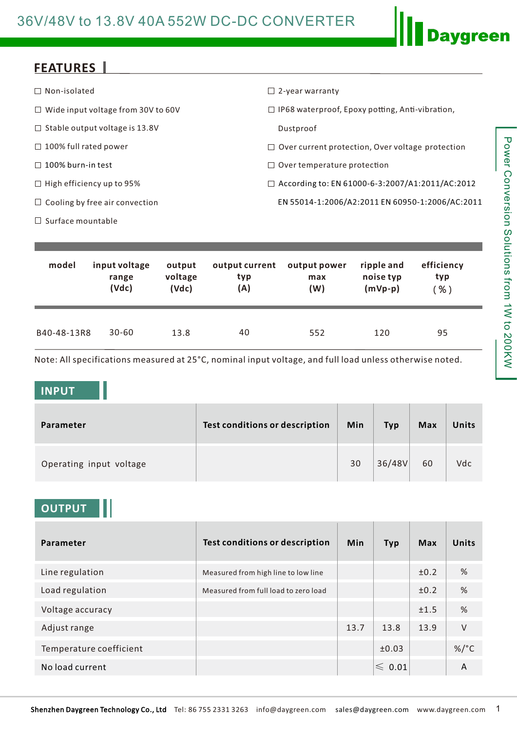## **FEATURES**

| $\Box$ Non-isolated                       | $\Box$ 2-year warranty                                  |
|-------------------------------------------|---------------------------------------------------------|
| $\Box$ Wide input voltage from 30V to 60V | $\Box$ IP68 waterproof, Epoxy potting, Anti-vibration,  |
| $\Box$ Stable output voltage is 13.8V     | Dustproof                                               |
| $\Box$ 100% full rated power              | $\Box$ Over current protection, Over voltage protection |
| $\Box$ 100% burn-in test                  | $\Box$ Over temperature protection                      |
| $\Box$ High efficiency up to 95%          | $\Box$ According to: EN 61000-6-3:2007/A1:2011/AC:2012  |
| $\Box$ Cooling by free air convection     | EN 55014-1:2006/A2:2011 EN 60950-1:2006/AC:2011         |
| $\Box$ Surface mountable                  |                                                         |

| model       | input voltage | output  | output current | output power | ripple and | efficiency |
|-------------|---------------|---------|----------------|--------------|------------|------------|
|             | range         | voltage | typ            | max          | noise typ  | typ        |
|             | (Vdc)         | (Vdc)   | (A)            | (W)          | $(mVp-p)$  | $%$ )      |
| B40-48-13R8 | $30 - 60$     | 13.8    | 40             | 552          | 120        | 95         |

Note: All specifications measured at 25°C, nominal input voltage, and full load unless otherwise noted.

#### **INPUT**

| Parameter               | Test conditions or description | Min | <b>Typ</b> | <b>Max</b> | Units |
|-------------------------|--------------------------------|-----|------------|------------|-------|
| Operating input voltage |                                | 30  | 36/48V     | 60         | Vdc   |

## **OUTPUT**

| Parameter               | <b>Test conditions or description</b> | <b>Min</b> | <b>Typ</b>       | Max  | <b>Units</b> |
|-------------------------|---------------------------------------|------------|------------------|------|--------------|
| Line regulation         | Measured from high line to low line   |            |                  | ±0.2 | %            |
| Load regulation         | Measured from full load to zero load  |            |                  | ±0.2 | %            |
| Voltage accuracy        |                                       |            |                  | ±1.5 | %            |
| Adjust range            |                                       | 13.7       | 13.8             | 13.9 | $\vee$       |
| Temperature coefficient |                                       |            | ±0.03            |      | $\%$ /°C     |
| No load current         |                                       |            | $\leqslant$ 0.01 |      | A            |

**Daygreen**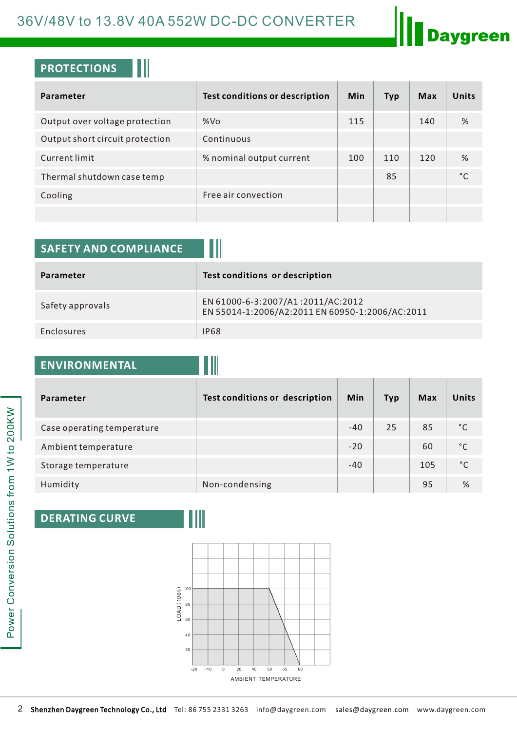## 36V/48V to 13.8V 40A 552W DC-DC CONVERTER

## **Daygreen**

## **PROTECTIONS**

| Parameter                       | <b>Test conditions or description</b> | Min | <b>Typ</b> | Max | <b>Units</b> |
|---------------------------------|---------------------------------------|-----|------------|-----|--------------|
| Output over voltage protection  | %Vo                                   | 115 |            | 140 | %            |
| Output short circuit protection | Continuous                            |     |            |     |              |
| Current limit                   | % nominal output current              | 100 | 110        | 120 | %            |
| Thermal shutdown case temp      |                                       |     | 85         |     | °C           |
| Cooling                         | Free air convection                   |     |            |     |              |
|                                 |                                       |     |            |     |              |

| <b>SAFETY AND COMPLIANCE</b> |                                                                                      |
|------------------------------|--------------------------------------------------------------------------------------|
| Parameter                    | Test conditions or description                                                       |
| Safety approvals             | EN 61000-6-3:2007/A1:2011/AC:2012<br>EN 55014-1:2006/A2:2011 EN 60950-1:2006/AC:2011 |
| Enclosures                   | <b>IP68</b>                                                                          |

## **ENVIRONMENTAL**

| Parameter                  | Test conditions or description | <b>Min</b> | <b>Typ</b> | <b>Max</b> | <b>Units</b> |
|----------------------------|--------------------------------|------------|------------|------------|--------------|
| Case operating temperature |                                | $-40$      | 25         | 85         | °€           |
| Ambient temperature        |                                | $-20$      |            | 60         | °C           |
| Storage temperature        |                                | $-40$      |            | 105        | °C           |
| Humidity                   | Non-condensing                 |            |            | 95         | %            |

#### **DERATING CURVE**